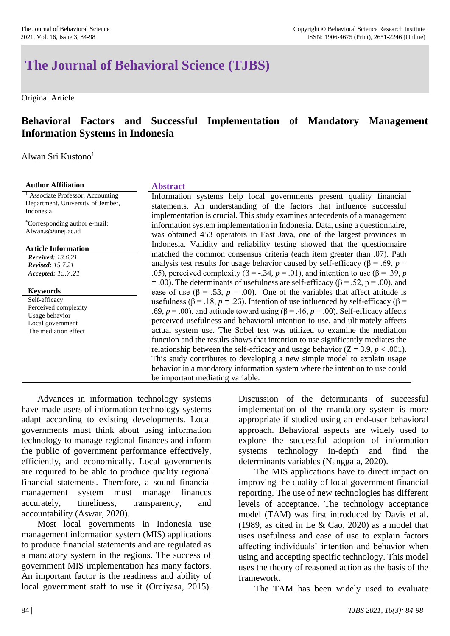# **The Journal of Behavioral Science (TJBS)**

Original Article

## **Behavioral Factors and Successful Implementation of Mandatory Management Information Systems in Indonesia**

Alwan Sri Kustono<sup>1</sup>

<sup>1</sup> Associate Professor, Accounting Department, University of Jember, Indonesia

\*Corresponding author e-mail: Alwan.s@unej.ac.id

**Article Information**

*Received: 13.6.21 Revised: 15.7.21 Accepted: 15.7.21*

**Keywords**

Self-efficacy Perceived complexity Usage behavior Local government The mediation effect

## **Author Affiliation Abstract**

Information systems help local governments present quality financial statements. An understanding of the factors that influence successful implementation is crucial. This study examines antecedents of a management information system implementation in Indonesia. Data, using a questionnaire, was obtained 453 operators in East Java, one of the largest provinces in Indonesia. Validity and reliability testing showed that the questionnaire matched the common consensus criteria (each item greater than .07). Path analysis test results for usage behavior caused by self-efficacy ( $\beta$  = .69, *p* = .05), perceived complexity ( $\beta$  = -.34,  $p$  = .01), and intention to use ( $\beta$  = .39,  $p$ = .00). The determinants of usefulness are self-efficacy ( $\beta$  = .52, p = .00), and ease of use ( $\beta$  = .53, *p* = .00). One of the variables that affect attitude is usefulness ( $\beta$  = .18, *p* = .26). Intention of use influenced by self-efficacy ( $\beta$  = .69,  $p = .00$ ), and attitude toward using ( $\beta = .46$ ,  $p = .00$ ). Self-efficacy affects perceived usefulness and behavioral intention to use, and ultimately affects actual system use. The Sobel test was utilized to examine the mediation function and the results shows that intention to use significantly mediates the relationship between the self-efficacy and usage behavior  $(Z = 3.9, p < .001)$ . This study contributes to developing a new simple model to explain usage behavior in a mandatory information system where the intention to use could be important mediating variable.

Advances in information technology systems have made users of information technology systems adapt according to existing developments. Local governments must think about using information technology to manage regional finances and inform the public of government performance effectively, efficiently, and economically. Local governments are required to be able to produce quality regional financial statements. Therefore, a sound financial management system must manage finances accurately, timeliness, transparency, and accountability (Aswar, 2020).

Most local governments in Indonesia use management information system (MIS) applications to produce financial statements and are regulated as a mandatory system in the regions. The success of government MIS implementation has many factors. An important factor is the readiness and ability of local government staff to use it (Ordiyasa, 2015).

Discussion of the determinants of successful implementation of the mandatory system is more appropriate if studied using an end-user behavioral approach. Behavioral aspects are widely used to explore the successful adoption of information systems technology in-depth and find the determinants variables (Nanggala, 2020).

The MIS applications have to direct impact on improving the quality of local government financial reporting. The use of new technologies has different levels of acceptance. The technology acceptance model (TAM) was first introduced by Davis et al. (1989, as cited in Le  $& Cao, 2020$ ) as a model that uses usefulness and ease of use to explain factors affecting individuals' intention and behavior when using and accepting specific technology. This model uses the theory of reasoned action as the basis of the framework.

The TAM has been widely used to evaluate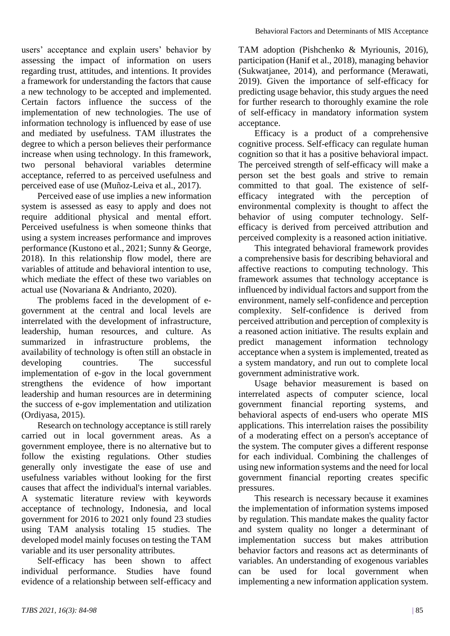users' acceptance and explain users' behavior by assessing the impact of information on users regarding trust, attitudes, and intentions. It provides a framework for understanding the factors that cause a new technology to be accepted and implemented. Certain factors influence the success of the implementation of new technologies. The use of information technology is influenced by ease of use and mediated by usefulness. TAM illustrates the degree to which a person believes their performance increase when using technology. In this framework, two personal behavioral variables determine acceptance, referred to as perceived usefulness and perceived ease of use (Muñoz-Leiva et al., 2017).

Perceived ease of use implies a new information system is assessed as easy to apply and does not require additional physical and mental effort. Perceived usefulness is when someone thinks that using a system increases performance and improves performance (Kustono et al., 2021; Sunny & George, 2018). In this relationship flow model, there are variables of attitude and behavioral intention to use, which mediate the effect of these two variables on actual use (Novariana & Andrianto, 2020).

The problems faced in the development of egovernment at the central and local levels are interrelated with the development of infrastructure, leadership, human resources, and culture. As summarized in infrastructure problems, the availability of technology is often still an obstacle in developing countries. The successful implementation of e-gov in the local government strengthens the evidence of how important leadership and human resources are in determining the success of e-gov implementation and utilization (Ordiyasa, 2015).

Research on technology acceptance is still rarely carried out in local government areas. As a government employee, there is no alternative but to follow the existing regulations. Other studies generally only investigate the ease of use and usefulness variables without looking for the first causes that affect the individual's internal variables. A systematic literature review with keywords acceptance of technology, Indonesia, and local government for 2016 to 2021 only found 23 studies using TAM analysis totaling 15 studies. The developed model mainly focuses on testing the TAM variable and its user personality attributes.

Self-efficacy has been shown to affect individual performance. Studies have found evidence of a relationship between self-efficacy and

TAM adoption (Pishchenko & Myriounis, 2016), participation (Hanif et al., 2018), managing behavior (Sukwatjanee, 2014), and performance (Merawati, 2019). Given the importance of self-efficacy for predicting usage behavior, this study argues the need for further research to thoroughly examine the role of self-efficacy in mandatory information system acceptance.

Efficacy is a product of a comprehensive cognitive process. Self-efficacy can regulate human cognition so that it has a positive behavioral impact. The perceived strength of self-efficacy will make a person set the best goals and strive to remain committed to that goal. The existence of selfefficacy integrated with the perception of environmental complexity is thought to affect the behavior of using computer technology. Selfefficacy is derived from perceived attribution and perceived complexity is a reasoned action initiative.

This integrated behavioral framework provides a comprehensive basis for describing behavioral and affective reactions to computing technology. This framework assumes that technology acceptance is influenced by individual factors and support from the environment, namely self-confidence and perception complexity. Self-confidence is derived from perceived attribution and perception of complexity is a reasoned action initiative. The results explain and predict management information technology acceptance when a system is implemented, treated as a system mandatory, and run out to complete local government administrative work.

Usage behavior measurement is based on interrelated aspects of computer science, local government financial reporting systems, and behavioral aspects of end-users who operate MIS applications. This interrelation raises the possibility of a moderating effect on a person's acceptance of the system. The computer gives a different response for each individual. Combining the challenges of using new information systems and the need for local government financial reporting creates specific pressures.

This research is necessary because it examines the implementation of information systems imposed by regulation. This mandate makes the quality factor and system quality no longer a determinant of implementation success but makes attribution behavior factors and reasons act as determinants of variables. An understanding of exogenous variables can be used for local government when implementing a new information application system.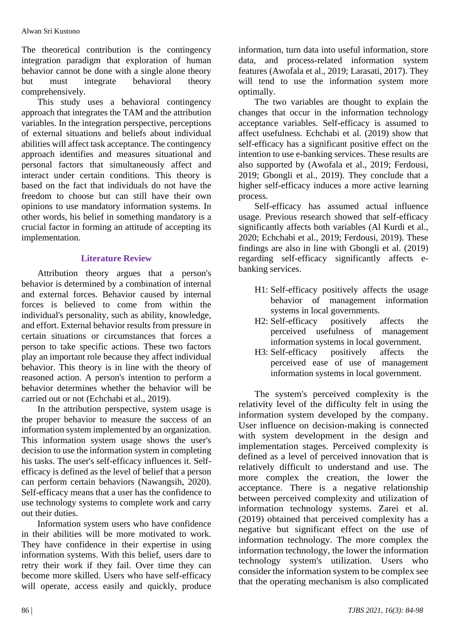The theoretical contribution is the contingency integration paradigm that exploration of human behavior cannot be done with a single alone theory but must integrate behavioral theory comprehensively.

This study uses a behavioral contingency approach that integrates the TAM and the attribution variables. In the integration perspective, perceptions of external situations and beliefs about individual abilities will affect task acceptance. The contingency approach identifies and measures situational and personal factors that simultaneously affect and interact under certain conditions. This theory is based on the fact that individuals do not have the freedom to choose but can still have their own opinions to use mandatory information systems. In other words, his belief in something mandatory is a crucial factor in forming an attitude of accepting its implementation.

## **Literature Review**

Attribution theory argues that a person's behavior is determined by a combination of internal and external forces. Behavior caused by internal forces is believed to come from within the individual's personality, such as ability, knowledge, and effort. External behavior results from pressure in certain situations or circumstances that forces a person to take specific actions. These two factors play an important role because they affect individual behavior. This theory is in line with the theory of reasoned action. A person's intention to perform a behavior determines whether the behavior will be carried out or not (Echchabi et al., 2019).

In the attribution perspective, system usage is the proper behavior to measure the success of an information system implemented by an organization. This information system usage shows the user's decision to use the information system in completing his tasks. The user's self-efficacy influences it. Selfefficacy is defined as the level of belief that a person can perform certain behaviors (Nawangsih, 2020). Self-efficacy means that a user has the confidence to use technology systems to complete work and carry out their duties.

Information system users who have confidence in their abilities will be more motivated to work. They have confidence in their expertise in using information systems. With this belief, users dare to retry their work if they fail. Over time they can become more skilled. Users who have self-efficacy will operate, access easily and quickly, produce

information, turn data into useful information, store data, and process-related information system features (Awofala et al., 2019; Larasati, 2017). They will tend to use the information system more optimally.

The two variables are thought to explain the changes that occur in the information technology acceptance variables. Self-efficacy is assumed to affect usefulness. Echchabi et al. (2019) show that self-efficacy has a significant positive effect on the intention to use e-banking services. These results are also supported by (Awofala et al., 2019; Ferdousi, 2019; Gbongli et al., 2019). They conclude that a higher self-efficacy induces a more active learning process.

Self-efficacy has assumed actual influence usage. Previous research showed that self-efficacy significantly affects both variables (Al Kurdi et al., 2020; Echchabi et al., 2019; Ferdousi, 2019). These findings are also in line with Gbongli et al. (2019) regarding self-efficacy significantly affects ebanking services.

- H1: Self-efficacy positively affects the usage behavior of management information systems in local governments.
- H2: Self-efficacy positively affects the perceived usefulness of management information systems in local government.
- H3: Self-efficacy positively affects the perceived ease of use of management information systems in local government.

The system's perceived complexity is the relativity level of the difficulty felt in using the information system developed by the company. User influence on decision-making is connected with system development in the design and implementation stages. Perceived complexity is defined as a level of perceived innovation that is relatively difficult to understand and use. The more complex the creation, the lower the acceptance. There is a negative relationship between perceived complexity and utilization of information technology systems. Zarei et al. (2019) obtained that perceived complexity has a negative but significant effect on the use of information technology. The more complex the information technology, the lower the information technology system's utilization. Users who consider the information system to be complex see that the operating mechanism is also complicated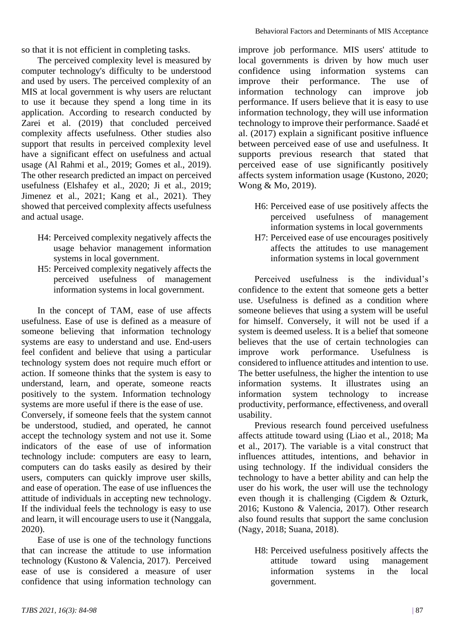so that it is not efficient in completing tasks.

The perceived complexity level is measured by computer technology's difficulty to be understood and used by users. The perceived complexity of an MIS at local government is why users are reluctant to use it because they spend a long time in its application. According to research conducted by Zarei et al. (2019) that concluded perceived complexity affects usefulness. Other studies also support that results in perceived complexity level have a significant effect on usefulness and actual usage (Al Rahmi et al., 2019; Gomes et al., 2019). The other research predicted an impact on perceived usefulness (Elshafey et al., 2020; Ji et al., 2019; Jimenez et al., 2021; Kang et al., 2021). They showed that perceived complexity affects usefulness and actual usage.

- H4: Perceived complexity negatively affects the usage behavior management information systems in local government.
- H5: Perceived complexity negatively affects the perceived usefulness of management information systems in local government.

In the concept of TAM, ease of use affects usefulness. Ease of use is defined as a measure of someone believing that information technology systems are easy to understand and use. End-users feel confident and believe that using a particular technology system does not require much effort or action. If someone thinks that the system is easy to understand, learn, and operate, someone reacts positively to the system. Information technology systems are more useful if there is the ease of use.

Conversely, if someone feels that the system cannot be understood, studied, and operated, he cannot accept the technology system and not use it. Some indicators of the ease of use of information technology include: computers are easy to learn, computers can do tasks easily as desired by their users, computers can quickly improve user skills, and ease of operation. The ease of use influences the attitude of individuals in accepting new technology. If the individual feels the technology is easy to use and learn, it will encourage users to use it (Nanggala, 2020).

Ease of use is one of the technology functions that can increase the attitude to use information technology (Kustono & Valencia, 2017). Perceived ease of use is considered a measure of user confidence that using information technology can improve job performance. MIS users' attitude to local governments is driven by how much user confidence using information systems can improve their performance. The use of information technology can improve job performance. If users believe that it is easy to use information technology, they will use information technology to improve their performance. Saadé et al. (2017) explain a significant positive influence between perceived ease of use and usefulness. It supports previous research that stated that perceived ease of use significantly positively affects system information usage (Kustono, 2020; Wong & Mo, 2019).

- H6: Perceived ease of use positively affects the perceived usefulness of management information systems in local governments
- H7: Perceived ease of use encourages positively affects the attitudes to use management information systems in local government

Perceived usefulness is the individual's confidence to the extent that someone gets a better use. Usefulness is defined as a condition where someone believes that using a system will be useful for himself. Conversely, it will not be used if a system is deemed useless. It is a belief that someone believes that the use of certain technologies can improve work performance. Usefulness is considered to influence attitudes and intention to use. The better usefulness, the higher the intention to use information systems. It illustrates using an information system technology to increase productivity, performance, effectiveness, and overall usability.

Previous research found perceived usefulness affects attitude toward using (Liao et al., 2018; Ma et al., 2017). The variable is a vital construct that influences attitudes, intentions, and behavior in using technology. If the individual considers the technology to have a better ability and can help the user do his work, the user will use the technology even though it is challenging (Cigdem & Ozturk, 2016; Kustono & Valencia, 2017). Other research also found results that support the same conclusion (Nagy, 2018; Suana, 2018).

H8: Perceived usefulness positively affects the attitude toward using management information systems in the local government.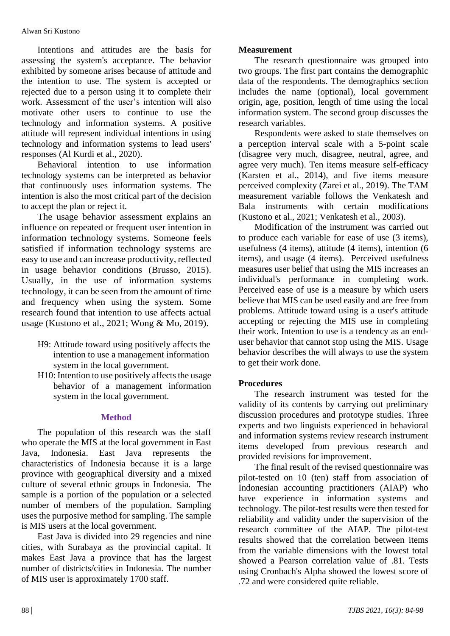Intentions and attitudes are the basis for assessing the system's acceptance. The behavior exhibited by someone arises because of attitude and the intention to use. The system is accepted or rejected due to a person using it to complete their work. Assessment of the user's intention will also motivate other users to continue to use the technology and information systems. A positive attitude will represent individual intentions in using technology and information systems to lead users' responses (Al Kurdi et al., 2020).

Behavioral intention to use information technology systems can be interpreted as behavior that continuously uses information systems. The intention is also the most critical part of the decision to accept the plan or reject it.

The usage behavior assessment explains an influence on repeated or frequent user intention in information technology systems. Someone feels satisfied if information technology systems are easy to use and can increase productivity, reflected in usage behavior conditions (Brusso, 2015). Usually, in the use of information systems technology, it can be seen from the amount of time and frequency when using the system. Some research found that intention to use affects actual usage (Kustono et al., 2021; Wong & Mo, 2019).

- H9: Attitude toward using positively affects the intention to use a management information system in the local government.
- H10: Intention to use positively affects the usage behavior of a management information system in the local government.

## **Method**

The population of this research was the staff who operate the MIS at the local government in East Java, Indonesia. East Java represents the characteristics of Indonesia because it is a large province with geographical diversity and a mixed culture of several ethnic groups in Indonesia. The sample is a portion of the population or a selected number of members of the population. Sampling uses the purposive method for sampling. The sample is MIS users at the local government.

East Java is divided into 29 regencies and nine cities, with Surabaya as the provincial capital. It makes East Java a province that has the largest number of districts/cities in Indonesia. The number of MIS user is approximately 1700 staff.

## **Measurement**

The research questionnaire was grouped into two groups. The first part contains the demographic data of the respondents. The demographics section includes the name (optional), local government origin, age, position, length of time using the local information system. The second group discusses the research variables.

Respondents were asked to state themselves on a perception interval scale with a 5-point scale (disagree very much, disagree, neutral, agree, and agree very much). Ten items measure self-efficacy (Karsten et al., 2014), and five items measure perceived complexity (Zarei et al., 2019). The TAM measurement variable follows the Venkatesh and Bala instruments with certain modifications (Kustono et al., 2021; Venkatesh et al., 2003).

Modification of the instrument was carried out to produce each variable for ease of use (3 items), usefulness (4 items), attitude (4 items), intention (6 items), and usage (4 items). Perceived usefulness measures user belief that using the MIS increases an individual's performance in completing work. Perceived ease of use is a measure by which users believe that MIS can be used easily and are free from problems. Attitude toward using is a user's attitude accepting or rejecting the MIS use in completing their work. Intention to use is a tendency as an enduser behavior that cannot stop using the MIS. Usage behavior describes the will always to use the system to get their work done.

## **Procedures**

The research instrument was tested for the validity of its contents by carrying out preliminary discussion procedures and prototype studies. Three experts and two linguists experienced in behavioral and information systems review research instrument items developed from previous research and provided revisions for improvement.

The final result of the revised questionnaire was pilot-tested on 10 (ten) staff from association of Indonesian accounting practitioners (AIAP) who have experience in information systems and technology. The pilot-test results were then tested for reliability and validity under the supervision of the research committee of the AIAP. The pilot-test results showed that the correlation between items from the variable dimensions with the lowest total showed a Pearson correlation value of .81. Tests using Cronbach's Alpha showed the lowest score of .72 and were considered quite reliable.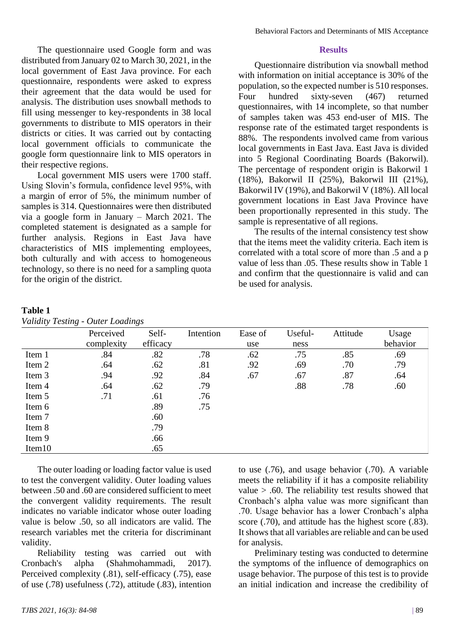The questionnaire used Google form and was distributed from January 02 to March 30, 2021, in the local government of East Java province. For each questionnaire, respondents were asked to express their agreement that the data would be used for analysis. The distribution uses snowball methods to fill using messenger to key-respondents in 38 local governments to distribute to MIS operators in their districts or cities. It was carried out by contacting local government officials to communicate the google form questionnaire link to MIS operators in their respective regions.

Local government MIS users were 1700 staff. Using Slovin's formula, confidence level 95%, with a margin of error of 5%, the minimum number of samples is 314. Questionnaires were then distributed via a google form in January – March 2021. The completed statement is designated as a sample for further analysis. Regions in East Java have characteristics of MIS implementing employees, both culturally and with access to homogeneous technology, so there is no need for a sampling quota for the origin of the district.

#### **Results**

Questionnaire distribution via snowball method with information on initial acceptance is 30% of the population, so the expected number is 510 responses. Four hundred sixty-seven (467) returned questionnaires, with 14 incomplete, so that number of samples taken was 453 end-user of MIS. The response rate of the estimated target respondents is 88%. The respondents involved came from various local governments in East Java. East Java is divided into 5 Regional Coordinating Boards (Bakorwil). The percentage of respondent origin is Bakorwil 1 (18%), Bakorwil II (25%), Bakorwil III (21%), Bakorwil IV (19%), and Bakorwil V (18%). All local government locations in East Java Province have been proportionally represented in this study. The sample is representative of all regions.

The results of the internal consistency test show that the items meet the validity criteria. Each item is correlated with a total score of more than .5 and a p value of less than .05. These results show in Table 1 and confirm that the questionnaire is valid and can be used for analysis.

#### **Table 1** *Validity Testing - Outer Loadings*

| . <b>.</b> ,<br>$-$ - - $\cdot$ . $\cdot$ $\cdot$ |            |          |           |         |         |          |          |
|---------------------------------------------------|------------|----------|-----------|---------|---------|----------|----------|
|                                                   | Perceived  | Self-    | Intention | Ease of | Useful- | Attitude | Usage    |
|                                                   | complexity | efficacy |           | use     | ness    |          | behavior |
| Item 1                                            | .84        | .82      | .78       | .62     | .75     | .85      | .69      |
| Item 2                                            | .64        | .62      | .81       | .92     | .69     | .70      | .79      |
| Item 3                                            | .94        | .92      | .84       | .67     | .67     | .87      | .64      |
| Item 4                                            | .64        | .62      | .79       |         | .88     | .78      | .60      |
| Item 5                                            | .71        | .61      | .76       |         |         |          |          |
| Item 6                                            |            | .89      | .75       |         |         |          |          |
| Item 7                                            |            | .60      |           |         |         |          |          |
| Item 8                                            |            | .79      |           |         |         |          |          |
| Item 9                                            |            | .66      |           |         |         |          |          |
| Item <sub>10</sub>                                |            | .65      |           |         |         |          |          |

The outer loading or loading factor value is used to test the convergent validity. Outer loading values between .50 and .60 are considered sufficient to meet the convergent validity requirements. The result indicates no variable indicator whose outer loading value is below .50, so all indicators are valid. The research variables met the criteria for discriminant validity.

Reliability testing was carried out with Cronbach's alpha (Shahmohammadi, 2017). Perceived complexity (.81), self-efficacy (.75), ease of use (.78) usefulness (.72), attitude (.83), intention

*TJBS 2021, 16(3): 84-98* | 89

to use (.76), and usage behavior (.70). A variable meets the reliability if it has a composite reliability value > .60. The reliability test results showed that Cronbach's alpha value was more significant than .70. Usage behavior has a lower Cronbach's alpha score (.70), and attitude has the highest score (.83). It shows that all variables are reliable and can be used for analysis.

Preliminary testing was conducted to determine the symptoms of the influence of demographics on usage behavior. The purpose of this test is to provide an initial indication and increase the credibility of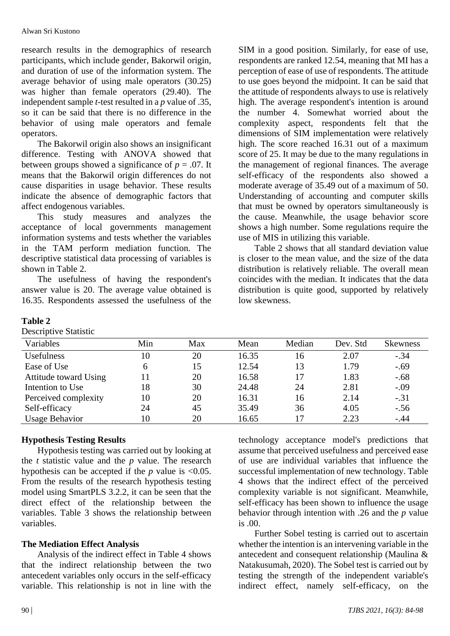research results in the demographics of research participants, which include gender, Bakorwil origin, and duration of use of the information system. The average behavior of using male operators (30.25) was higher than female operators (29.40). The independent sample *t*-test resulted in a *p* value of .35, so it can be said that there is no difference in the behavior of using male operators and female operators.

The Bakorwil origin also shows an insignificant difference. Testing with ANOVA showed that between groups showed a significance of  $p = .07$ . It means that the Bakorwil origin differences do not cause disparities in usage behavior. These results indicate the absence of demographic factors that affect endogenous variables.

This study measures and analyzes the acceptance of local governments management information systems and tests whether the variables in the TAM perform mediation function. The descriptive statistical data processing of variables is shown in Table 2.

The usefulness of having the respondent's answer value is 20. The average value obtained is 16.35. Respondents assessed the usefulness of the

### **Table 2**

Descriptive Statistic

| SIM in a good position. Similarly, for ease of use,     |  |  |  |  |
|---------------------------------------------------------|--|--|--|--|
| respondents are ranked 12.54, meaning that MI has a     |  |  |  |  |
| perception of ease of use of respondents. The attitude  |  |  |  |  |
| to use goes beyond the midpoint. It can be said that    |  |  |  |  |
| the attitude of respondents always to use is relatively |  |  |  |  |
| high. The average respondent's intention is around      |  |  |  |  |
| the number 4. Somewhat worried about the                |  |  |  |  |
| complexity aspect, respondents felt that the            |  |  |  |  |
| dimensions of SIM implementation were relatively        |  |  |  |  |
| high. The score reached 16.31 out of a maximum          |  |  |  |  |
| score of 25. It may be due to the many regulations in   |  |  |  |  |
| the management of regional finances. The average        |  |  |  |  |
| self-efficacy of the respondents also showed a          |  |  |  |  |
| moderate average of 35.49 out of a maximum of 50.       |  |  |  |  |
| Understanding of accounting and computer skills         |  |  |  |  |
| that must be owned by operators simultaneously is       |  |  |  |  |
| the cause. Meanwhile, the usage behavior score          |  |  |  |  |
| shows a high number. Some regulations require the       |  |  |  |  |
| use of MIS in utilizing this variable.                  |  |  |  |  |

Table 2 shows that all standard deviation value is closer to the mean value, and the size of the data distribution is relatively reliable. The overall mean coincides with the median. It indicates that the data distribution is quite good, supported by relatively low skewness.

| Variables             | Min | Max | Mean  | Median | Dev. Std | <b>Skewness</b> |
|-----------------------|-----|-----|-------|--------|----------|-----------------|
| Usefulness            | 10  | 20  | 16.35 | 16     | 2.07     | $-.34$          |
| Ease of Use           | 6   | 15  | 12.54 | 13     | 1.79     | $-.69$          |
| Attitude toward Using | 11  | 20  | 16.58 | 17     | 1.83     | $-.68$          |
| Intention to Use      | 18  | 30  | 24.48 | 24     | 2.81     | $-.09$          |
| Perceived complexity  | 10  | 20  | 16.31 | 16     | 2.14     | $-.31$          |
| Self-efficacy         | 24  | 45  | 35.49 | 36     | 4.05     | $-.56$          |
| <b>Usage Behavior</b> | 10  | 20  | 16.65 |        | 2.23     | $-.44$          |

## **Hypothesis Testing Results**

Hypothesis testing was carried out by looking at the *t* statistic value and the *p* value. The research hypothesis can be accepted if the  $p$  value is <0.05. From the results of the research hypothesis testing model using SmartPLS 3.2.2, it can be seen that the direct effect of the relationship between the variables. Table 3 shows the relationship between variables.

## **The Mediation Effect Analysis**

Analysis of the indirect effect in Table 4 shows that the indirect relationship between the two antecedent variables only occurs in the self-efficacy variable. This relationship is not in line with the

technology acceptance model's predictions that assume that perceived usefulness and perceived ease of use are individual variables that influence the successful implementation of new technology. Table 4 shows that the indirect effect of the perceived complexity variable is not significant. Meanwhile, self-efficacy has been shown to influence the usage behavior through intention with .26 and the *p* value is .00.

Further Sobel testing is carried out to ascertain whether the intention is an intervening variable in the antecedent and consequent relationship (Maulina & Natakusumah, 2020). The Sobel test is carried out by testing the strength of the independent variable's indirect effect, namely self-efficacy, on the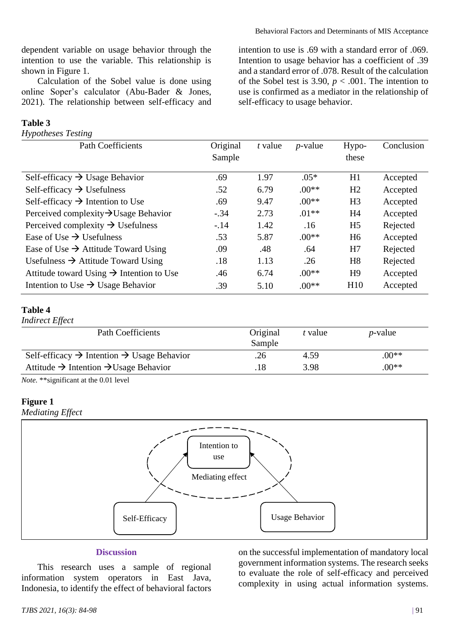dependent variable on usage behavior through the intention to use the variable. This relationship is shown in Figure 1.

Calculation of the Sobel value is done using online Soper's calculator (Abu-Bader & Jones, 2021). The relationship between self-efficacy and

#### **Table 3**

*Hypotheses Testing*

intention to use is .69 with a standard error of .069. Intention to usage behavior has a coefficient of .39 and a standard error of .078. Result of the calculation of the Sobel test is 3.90,  $p < .001$ . The intention to use is confirmed as a mediator in the relationship of self-efficacy to usage behavior.

| <b>Path Coefficients</b>                             | Original | t value | $p$ -value | Hypo-          | Conclusion |
|------------------------------------------------------|----------|---------|------------|----------------|------------|
|                                                      | Sample   |         |            | these          |            |
| Self-efficacy $\rightarrow$ Usage Behavior           | .69      | 1.97    | $.05*$     | H1             | Accepted   |
| Self-efficacy $\rightarrow$ Usefulness               | .52      | 6.79    | $.00**$    | H2             | Accepted   |
| Self-efficacy $\rightarrow$ Intention to Use         | .69      | 9.47    | $.00**$    | H <sub>3</sub> | Accepted   |
| Perceived complexity $\rightarrow$ Usage Behavior    | $-.34$   | 2.73    | $.01**$    | H <sub>4</sub> | Accepted   |
| Perceived complexity $\rightarrow$ Usefulness        | $-.14$   | 1.42    | .16        | H <sub>5</sub> | Rejected   |
| Ease of Use $\rightarrow$ Usefulness                 | .53      | 5.87    | $.00**$    | H <sub>6</sub> | Accepted   |
| Ease of Use $\rightarrow$ Attitude Toward Using      | .09      | .48     | .64        | H7             | Rejected   |
| Usefulness $\rightarrow$ Attitude Toward Using       | .18      | 1.13    | .26        | H <sub>8</sub> | Rejected   |
| Attitude toward Using $\rightarrow$ Intention to Use | .46      | 6.74    | $.00**$    | H <sub>9</sub> | Accepted   |
| Intention to Use $\rightarrow$ Usage Behavior        | .39      | 5.10    | $.00**$    | H10            | Accepted   |

#### **Table 4**

*Indirect Effect*

| Path Coefficients                                                  | Original<br>Sample | t value | <i>p</i> -value |
|--------------------------------------------------------------------|--------------------|---------|-----------------|
| Self-efficacy $\rightarrow$ Intention $\rightarrow$ Usage Behavior | .26                | 4.59    | $.00**$         |
| Attitude $\rightarrow$ Intention $\rightarrow$ Usage Behavior      | .18                | 3.98    | $00**$          |
|                                                                    |                    |         |                 |

*Note.* \*\*significant at the 0.01 level

#### **Figure 1**

*Mediating Effect*



#### **Discussion**

This research uses a sample of regional information system operators in East Java, Indonesia, to identify the effect of behavioral factors

on the successful implementation of mandatory local government information systems. The research seeks to evaluate the role of self-efficacy and perceived complexity in using actual information systems.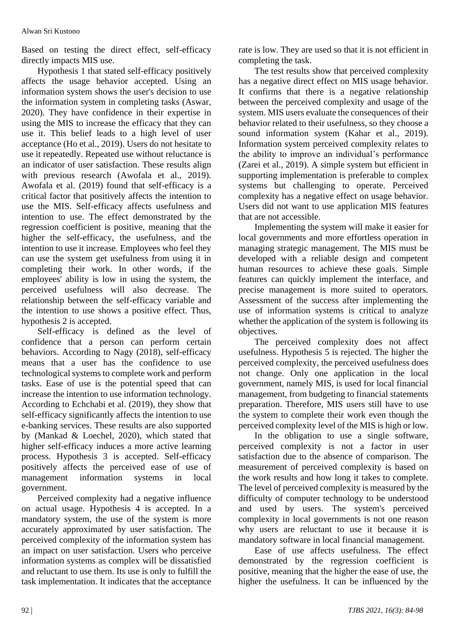Based on testing the direct effect, self-efficacy directly impacts MIS use.

Hypothesis 1 that stated self-efficacy positively affects the usage behavior accepted. Using an information system shows the user's decision to use the information system in completing tasks (Aswar, 2020). They have confidence in their expertise in using the MIS to increase the efficacy that they can use it. This belief leads to a high level of user acceptance (Ho et al., 2019). Users do not hesitate to use it repeatedly. Repeated use without reluctance is an indicator of user satisfaction. These results align with previous research (Awofala et al., 2019). Awofala et al. (2019) found that self-efficacy is a critical factor that positively affects the intention to use the MIS. Self-efficacy affects usefulness and intention to use. The effect demonstrated by the regression coefficient is positive, meaning that the higher the self-efficacy, the usefulness, and the intention to use it increase. Employees who feel they can use the system get usefulness from using it in completing their work. In other words, if the employees' ability is low in using the system, the perceived usefulness will also decrease. The relationship between the self-efficacy variable and the intention to use shows a positive effect. Thus, hypothesis 2 is accepted.

Self-efficacy is defined as the level of confidence that a person can perform certain behaviors. According to Nagy (2018), self-efficacy means that a user has the confidence to use technological systems to complete work and perform tasks. Ease of use is the potential speed that can increase the intention to use information technology. According to Echchabi et al. (2019), they show that self-efficacy significantly affects the intention to use e-banking services. These results are also supported by (Mankad & Loechel, 2020), which stated that higher self-efficacy induces a more active learning process. Hypothesis 3 is accepted. Self-efficacy positively affects the perceived ease of use of management information systems in local government.

Perceived complexity had a negative influence on actual usage. Hypothesis 4 is accepted. In a mandatory system, the use of the system is more accurately approximated by user satisfaction. The perceived complexity of the information system has an impact on user satisfaction. Users who perceive information systems as complex will be dissatisfied and reluctant to use them. Its use is only to fulfill the task implementation. It indicates that the acceptance

rate is low. They are used so that it is not efficient in completing the task.

The test results show that perceived complexity has a negative direct effect on MIS usage behavior. It confirms that there is a negative relationship between the perceived complexity and usage of the system. MIS users evaluate the consequences of their behavior related to their usefulness, so they choose a sound information system (Kahar et al., 2019). Information system perceived complexity relates to the ability to improve an individual's performance (Zarei et al., 2019). A simple system but efficient in supporting implementation is preferable to complex systems but challenging to operate. Perceived complexity has a negative effect on usage behavior. Users did not want to use application MIS features that are not accessible.

Implementing the system will make it easier for local governments and more effortless operation in managing strategic management. The MIS must be developed with a reliable design and competent human resources to achieve these goals. Simple features can quickly implement the interface, and precise management is more suited to operators. Assessment of the success after implementing the use of information systems is critical to analyze whether the application of the system is following its objectives.

The perceived complexity does not affect usefulness. Hypothesis 5 is rejected. The higher the perceived complexity, the perceived usefulness does not change. Only one application in the local government, namely MIS, is used for local financial management, from budgeting to financial statements preparation. Therefore, MIS users still have to use the system to complete their work even though the perceived complexity level of the MIS is high or low.

In the obligation to use a single software, perceived complexity is not a factor in user satisfaction due to the absence of comparison. The measurement of perceived complexity is based on the work results and how long it takes to complete. The level of perceived complexity is measured by the difficulty of computer technology to be understood and used by users. The system's perceived complexity in local governments is not one reason why users are reluctant to use it because it is mandatory software in local financial management.

Ease of use affects usefulness. The effect demonstrated by the regression coefficient is positive, meaning that the higher the ease of use, the higher the usefulness. It can be influenced by the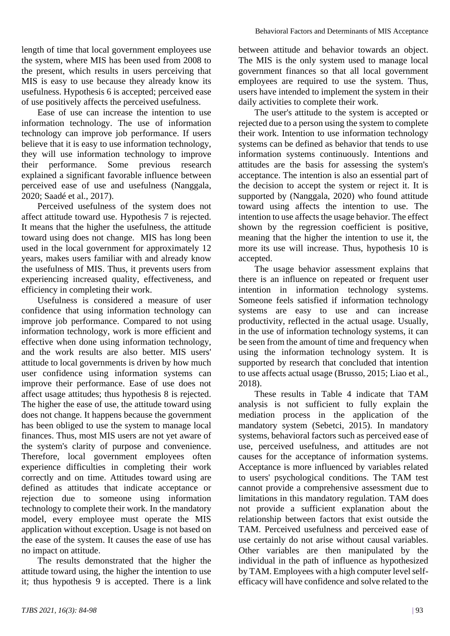length of time that local government employees use the system, where MIS has been used from 2008 to the present, which results in users perceiving that MIS is easy to use because they already know its usefulness. Hypothesis 6 is accepted; perceived ease of use positively affects the perceived usefulness.

Ease of use can increase the intention to use information technology. The use of information technology can improve job performance. If users believe that it is easy to use information technology, they will use information technology to improve their performance. Some previous research explained a significant favorable influence between perceived ease of use and usefulness (Nanggala, 2020; Saadé et al., 2017).

Perceived usefulness of the system does not affect attitude toward use. Hypothesis 7 is rejected. It means that the higher the usefulness, the attitude toward using does not change. MIS has long been used in the local government for approximately 12 years, makes users familiar with and already know the usefulness of MIS. Thus, it prevents users from experiencing increased quality, effectiveness, and efficiency in completing their work.

Usefulness is considered a measure of user confidence that using information technology can improve job performance. Compared to not using information technology, work is more efficient and effective when done using information technology, and the work results are also better. MIS users' attitude to local governments is driven by how much user confidence using information systems can improve their performance. Ease of use does not affect usage attitudes; thus hypothesis 8 is rejected. The higher the ease of use, the attitude toward using does not change. It happens because the government has been obliged to use the system to manage local finances. Thus, most MIS users are not yet aware of the system's clarity of purpose and convenience. Therefore, local government employees often experience difficulties in completing their work correctly and on time. Attitudes toward using are defined as attitudes that indicate acceptance or rejection due to someone using information technology to complete their work. In the mandatory model, every employee must operate the MIS application without exception. Usage is not based on the ease of the system. It causes the ease of use has no impact on attitude.

The results demonstrated that the higher the attitude toward using, the higher the intention to use it; thus hypothesis 9 is accepted. There is a link

between attitude and behavior towards an object. The MIS is the only system used to manage local government finances so that all local government employees are required to use the system. Thus, users have intended to implement the system in their daily activities to complete their work.

The user's attitude to the system is accepted or rejected due to a person using the system to complete their work. Intention to use information technology systems can be defined as behavior that tends to use information systems continuously. Intentions and attitudes are the basis for assessing the system's acceptance. The intention is also an essential part of the decision to accept the system or reject it. It is supported by (Nanggala, 2020) who found attitude toward using affects the intention to use. The intention to use affects the usage behavior. The effect shown by the regression coefficient is positive, meaning that the higher the intention to use it, the more its use will increase. Thus, hypothesis 10 is accepted.

The usage behavior assessment explains that there is an influence on repeated or frequent user intention in information technology systems. Someone feels satisfied if information technology systems are easy to use and can increase productivity, reflected in the actual usage. Usually, in the use of information technology systems, it can be seen from the amount of time and frequency when using the information technology system. It is supported by research that concluded that intention to use affects actual usage (Brusso, 2015; Liao et al., 2018).

These results in Table 4 indicate that TAM analysis is not sufficient to fully explain the mediation process in the application of the mandatory system (Sebetci, 2015). In mandatory systems, behavioral factors such as perceived ease of use, perceived usefulness, and attitudes are not causes for the acceptance of information systems. Acceptance is more influenced by variables related to users' psychological conditions. The TAM test cannot provide a comprehensive assessment due to limitations in this mandatory regulation. TAM does not provide a sufficient explanation about the relationship between factors that exist outside the TAM. Perceived usefulness and perceived ease of use certainly do not arise without causal variables. Other variables are then manipulated by the individual in the path of influence as hypothesized by TAM. Employees with a high computer level selfefficacy will have confidence and solve related to the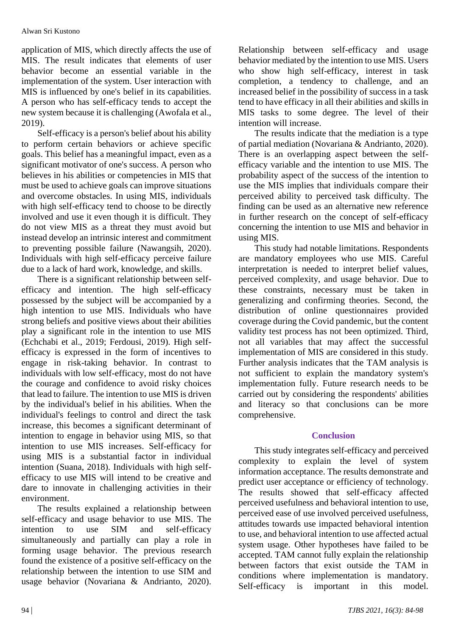application of MIS, which directly affects the use of MIS. The result indicates that elements of user behavior become an essential variable in the implementation of the system. User interaction with MIS is influenced by one's belief in its capabilities. A person who has self-efficacy tends to accept the new system because it is challenging (Awofala et al., 2019).

Self-efficacy is a person's belief about his ability to perform certain behaviors or achieve specific goals. This belief has a meaningful impact, even as a significant motivator of one's success. A person who believes in his abilities or competencies in MIS that must be used to achieve goals can improve situations and overcome obstacles. In using MIS, individuals with high self-efficacy tend to choose to be directly involved and use it even though it is difficult. They do not view MIS as a threat they must avoid but instead develop an intrinsic interest and commitment to preventing possible failure (Nawangsih, 2020). Individuals with high self-efficacy perceive failure due to a lack of hard work, knowledge, and skills.

There is a significant relationship between selfefficacy and intention. The high self-efficacy possessed by the subject will be accompanied by a high intention to use MIS. Individuals who have strong beliefs and positive views about their abilities play a significant role in the intention to use MIS (Echchabi et al., 2019; Ferdousi, 2019). High selfefficacy is expressed in the form of incentives to engage in risk-taking behavior. In contrast to individuals with low self-efficacy, most do not have the courage and confidence to avoid risky choices that lead to failure. The intention to use MIS is driven by the individual's belief in his abilities. When the individual's feelings to control and direct the task increase, this becomes a significant determinant of intention to engage in behavior using MIS, so that intention to use MIS increases. Self-efficacy for using MIS is a substantial factor in individual intention (Suana, 2018). Individuals with high selfefficacy to use MIS will intend to be creative and dare to innovate in challenging activities in their environment.

The results explained a relationship between self-efficacy and usage behavior to use MIS. The intention to use SIM and self-efficacy simultaneously and partially can play a role in forming usage behavior. The previous research found the existence of a positive self-efficacy on the relationship between the intention to use SIM and usage behavior (Novariana & Andrianto, 2020).

Relationship between self-efficacy and usage behavior mediated by the intention to use MIS. Users who show high self-efficacy, interest in task completion, a tendency to challenge, and an increased belief in the possibility of success in a task tend to have efficacy in all their abilities and skills in MIS tasks to some degree. The level of their intention will increase.

The results indicate that the mediation is a type of partial mediation (Novariana & Andrianto, 2020). There is an overlapping aspect between the selfefficacy variable and the intention to use MIS. The probability aspect of the success of the intention to use the MIS implies that individuals compare their perceived ability to perceived task difficulty. The finding can be used as an alternative new reference in further research on the concept of self-efficacy concerning the intention to use MIS and behavior in using MIS.

This study had notable limitations. Respondents are mandatory employees who use MIS. Careful interpretation is needed to interpret belief values, perceived complexity, and usage behavior. Due to these constraints, necessary must be taken in generalizing and confirming theories. Second, the distribution of online questionnaires provided coverage during the Covid pandemic, but the content validity test process has not been optimized. Third, not all variables that may affect the successful implementation of MIS are considered in this study. Further analysis indicates that the TAM analysis is not sufficient to explain the mandatory system's implementation fully. Future research needs to be carried out by considering the respondents' abilities and literacy so that conclusions can be more comprehensive.

## **Conclusion**

This study integrates self-efficacy and perceived complexity to explain the level of system information acceptance. The results demonstrate and predict user acceptance or efficiency of technology. The results showed that self-efficacy affected perceived usefulness and behavioral intention to use, perceived ease of use involved perceived usefulness, attitudes towards use impacted behavioral intention to use, and behavioral intention to use affected actual system usage. Other hypotheses have failed to be accepted. TAM cannot fully explain the relationship between factors that exist outside the TAM in conditions where implementation is mandatory. Self-efficacy is important in this model.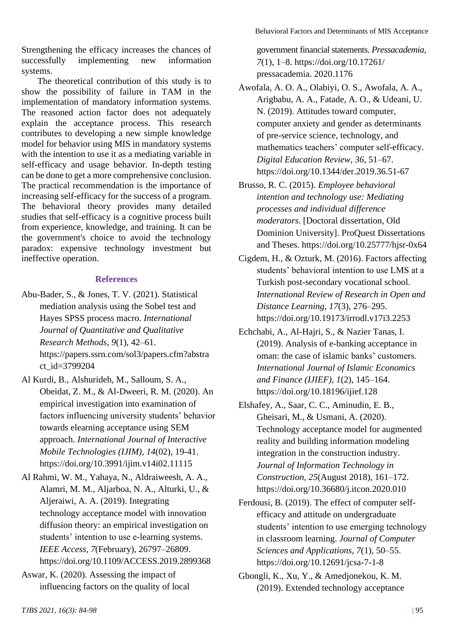Strengthening the efficacy increases the chances of successfully implementing new information systems.

The theoretical contribution of this study is to show the possibility of failure in TAM in the implementation of mandatory information systems. The reasoned action factor does not adequately explain the acceptance process. This research contributes to developing a new simple knowledge model for behavior using MIS in mandatory systems with the intention to use it as a mediating variable in self-efficacy and usage behavior. In-depth testing can be done to get a more comprehensive conclusion. The practical recommendation is the importance of increasing self-efficacy for the success of a program. The behavioral theory provides many detailed studies that self-efficacy is a cognitive process built from experience, knowledge, and training. It can be the government's choice to avoid the technology paradox: expensive technology investment but ineffective operation.

### **References**

- Abu-Bader, S., & Jones, T. V. (2021). Statistical mediation analysis using the Sobel test and Hayes SPSS process macro. *International Journal of Quantitative and Qualitative Research Methods, 9*(1), 42–61. https://papers.ssrn.com/sol3/papers.cfm?abstra ct\_id=3799204
- Al Kurdi, B., Alshurideh, M., Salloum, S. A., Obeidat, Z. M., & Al-Dweeri, R. M. (2020). An empirical investigation into examination of factors influencing university students' behavior towards elearning acceptance using SEM approach. *International Journal of Interactive Mobile Technologies (IJIM), 14*(02), 19-41. https://doi.org/10.3991/ijim.v14i02.11115
- Al Rahmi, W. M., Yahaya, N., Aldraiweesh, A. A., Alamri, M. M., Aljarboa, N. A., Alturki, U., & Aljeraiwi, A. A. (2019). Integrating technology acceptance model with innovation diffusion theory: an empirical investigation on students' intention to use e-learning systems. *IEEE Access, 7*(February), 26797–26809. https://doi.org/10.1109/ACCESS.2019.2899368
- Aswar, K. (2020). Assessing the impact of influencing factors on the quality of local

government financial statements. *Pressacademia, 7*(1), 1–8. https://doi.org/10.17261/ pressacademia. 2020.1176

- Awofala, A. O. A., Olabiyi, O. S., Awofala, A. A., Arigbabu, A. A., Fatade, A. O., & Udeani, U. N. (2019). Attitudes toward computer, computer anxiety and gender as determinants of pre-service science, technology, and mathematics teachers' computer self-efficacy. *Digital Education Review, 36*, 51–67. https://doi.org/10.1344/der.2019.36.51-67
- Brusso, R. C. (2015). *Employee behavioral intention and technology use: Mediating processes and individual difference moderators*. [Doctoral dissertation, Old Dominion University]. ProQuest Dissertations and Theses. https://doi.org/10.25777/hjsr-0x64
- Cigdem, H., & Ozturk, M. (2016). Factors affecting students' behavioral intention to use LMS at a Turkish post-secondary vocational school. *International Review of Research in Open and Distance Learning, 17*(3), 276–295. https://doi.org/10.19173/irrodl.v17i3.2253
- Echchabi, A., Al-Hajri, S., & Nazier Tanas, I. (2019). Analysis of e-banking acceptance in oman: the case of islamic banks' customers. *International Journal of Islamic Economics and Finance (IJIEF), 1*(2), 145–164. https://doi.org/10.18196/ijief.128
- Elshafey, A., Saar, C. C., Aminudin, E. B., Gheisari, M., & Usmani, A. (2020). Technology acceptance model for augmented reality and building information modeling integration in the construction industry. *Journal of Information Technology in Construction, 25*(August 2018), 161–172. https://doi.org/10.36680/j.itcon.2020.010
- Ferdousi, B. (2019). The effect of computer selfefficacy and attitude on undergraduate students' intention to use emerging technology in classroom learning. *Journal of Computer Sciences and Applications, 7*(1), 50–55. https://doi.org/10.12691/jcsa-7-1-8
- Gbongli, K., Xu, Y., & Amedjonekou, K. M. (2019). Extended technology acceptance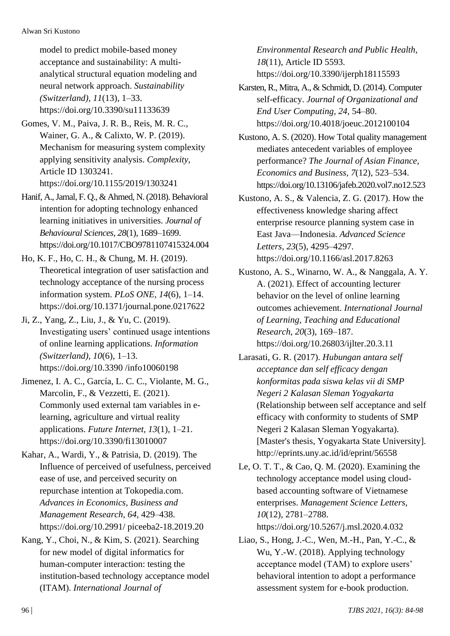model to predict mobile-based money acceptance and sustainability: A multianalytical structural equation modeling and neural network approach. *Sustainability (Switzerland), 11*(13), 1–33. https://doi.org/10.3390/su11133639

- Gomes, V. M., Paiva, J. R. B., Reis, M. R. C., Wainer, G. A., & Calixto, W. P. (2019). Mechanism for measuring system complexity applying sensitivity analysis. *Complexity,* Article ID 1303241. https://doi.org/10.1155/2019/1303241
- Hanif, A., Jamal, F. Q., & Ahmed, N. (2018). Behavioral intention for adopting technology enhanced learning initiatives in universities. *Journal of Behavioural Sciences, 28*(1), 1689–1699. https://doi.org/10.1017/CBO9781107415324.004
- Ho, K. F., Ho, C. H., & Chung, M. H. (2019). Theoretical integration of user satisfaction and technology acceptance of the nursing process information system. *PLoS ONE, 14*(6), 1–14. https://doi.org/10.1371/journal.pone.0217622
- Ji, Z., Yang, Z., Liu, J., & Yu, C. (2019). Investigating users' continued usage intentions of online learning applications. *Information (Switzerland), 10*(6), 1–13. https://doi.org/10.3390 /info10060198
- Jimenez, I. A. C., García, L. C. C., Violante, M. G., Marcolin, F., & Vezzetti, E. (2021). Commonly used external tam variables in elearning, agriculture and virtual reality applications. *Future Internet, 13*(1), 1–21. https://doi.org/10.3390/fi13010007
- Kahar, A., Wardi, Y., & Patrisia, D. (2019). The Influence of perceived of usefulness, perceived ease of use, and perceived security on repurchase intention at Tokopedia.com. *Advances in Economics, Business and Management Research, 64*, 429–438. https://doi.org/10.2991/ piceeba2-18.2019.20
- Kang, Y., Choi, N., & Kim, S. (2021). Searching for new model of digital informatics for human-computer interaction: testing the institution-based technology acceptance model (ITAM). *International Journal of*

*Environmental Research and Public Health, 18*(11), Article ID 5593. https://doi.org/10.3390/ijerph18115593

- Karsten, R., Mitra, A., & Schmidt, D. (2014). Computer self-efficacy. *Journal of Organizational and End User Computing, 24*, 54–80. https://doi.org/10.4018/joeuc.2012100104
- Kustono, A. S. (2020). How Total quality management mediates antecedent variables of employee performance? *The Journal of Asian Finance, Economics and Business, 7*(12), 523–534. https://doi.org/10.13106/jafeb.2020.vol7.no12.523
- Kustono, A. S., & Valencia, Z. G. (2017). How the effectiveness knowledge sharing affect enterprise resource planning system case in East Java—Indonesia. *Advanced Science Letters, 23*(5), 4295–4297. https://doi.org/10.1166/asl.2017.8263
- Kustono, A. S., Winarno, W. A., & Nanggala, A. Y. A. (2021). Effect of accounting lecturer behavior on the level of online learning outcomes achievement. *International Journal of Learning, Teaching and Educational Research, 20*(3), 169–187. https://doi.org/10.26803/ijlter.20.3.11
- Larasati, G. R. (2017). *Hubungan antara self acceptance dan self efficacy dengan konformitas pada siswa kelas vii di SMP Negeri 2 Kalasan Sleman Yogyakarta* (Relationship between self acceptance and self efficacy with conformity to students of SMP Negeri 2 Kalasan Sleman Yogyakarta). [Master's thesis, Yogyakarta State University]. http://eprints.uny.ac.id/id/eprint/56558
- Le, O. T. T., & Cao, Q. M. (2020). Examining the technology acceptance model using cloudbased accounting software of Vietnamese enterprises. *Management Science Letters, 10*(12), 2781–2788. https://doi.org/10.5267/j.msl.2020.4.032
- Liao, S., Hong, J.-C., Wen, M.-H., Pan, Y.-C., & Wu, Y.-W. (2018). Applying technology acceptance model (TAM) to explore users' behavioral intention to adopt a performance assessment system for e-book production.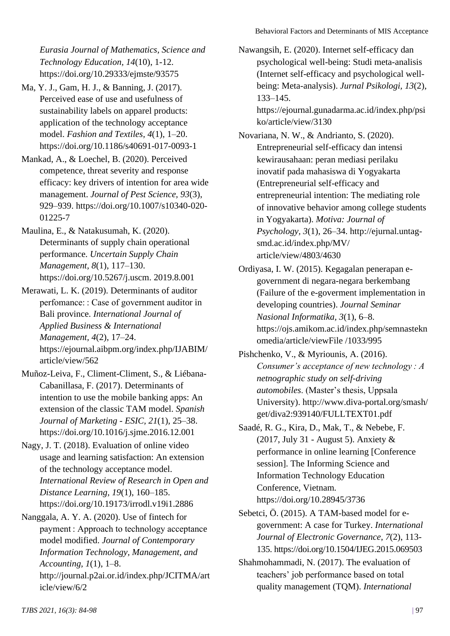*Eurasia Journal of Mathematics, Science and Technology Education, 14*(10), 1-12. https://doi.org/10.29333/ejmste/93575

- Ma, Y. J., Gam, H. J., & Banning, J. (2017). Perceived ease of use and usefulness of sustainability labels on apparel products: application of the technology acceptance model. *Fashion and Textiles, 4*(1), 1–20. https://doi.org/10.1186/s40691-017-0093-1
- Mankad, A., & Loechel, B. (2020). Perceived competence, threat severity and response efficacy: key drivers of intention for area wide management. *Journal of Pest Science, 93*(3), 929–939. https://doi.org/10.1007/s10340-020- 01225-7
- Maulina, E., & Natakusumah, K. (2020). Determinants of supply chain operational performance. *Uncertain Supply Chain Management, 8*(1), 117–130. https://doi.org/10.5267/j.uscm. 2019.8.001
- Merawati, L. K. (2019). Determinants of auditor perfomance: : Case of government auditor in Bali province. *International Journal of Applied Business & International Management, 4*(2), 17–24. https://ejournal.aibpm.org/index.php/IJABIM/ article/view/562
- Muñoz-Leiva, F., Climent-Climent, S., & Liébana-Cabanillasa, F. (2017). Determinants of intention to use the mobile banking apps: An extension of the classic TAM model. *Spanish Journal of Marketing - ESIC, 21*(1), 25–38. https://doi.org/10.1016/j.sjme.2016.12.001
- Nagy, J. T. (2018). Evaluation of online video usage and learning satisfaction: An extension of the technology acceptance model. *International Review of Research in Open and Distance Learning, 19*(1), 160–185. https://doi.org/10.19173/irrodl.v19i1.2886
- Nanggala, A. Y. A. (2020). Use of fintech for payment : Approach to technology acceptance model modified. *Journal of Contemporary Information Technology, Management, and Accounting, 1*(1), 1–8. http://journal.p2ai.or.id/index.php/JCITMA/art icle/view/6/2

Nawangsih, E. (2020). Internet self-efficacy dan psychological well-being: Studi meta-analisis (Internet self-efficacy and psychological wellbeing: Meta-analysis). *Jurnal Psikologi, 13*(2), 133–145.

https://ejournal.gunadarma.ac.id/index.php/psi ko/article/view/3130

Novariana, N. W., & Andrianto, S. (2020). Entrepreneurial self-efficacy dan intensi kewirausahaan: peran mediasi perilaku inovatif pada mahasiswa di Yogyakarta (Entrepreneurial self-efficacy and entrepreneurial intention: The mediating role of innovative behavior among college students in Yogyakarta). *Motiva: Journal of Psychology, 3*(1), 26–34. http://ejurnal.untagsmd.ac.id/index.php/MV/ article/view/4803/4630

- Ordiyasa, I. W. (2015). Kegagalan penerapan egovernment di negara-negara berkembang (Failure of the e-goverment implementation in developing countries). *Journal Seminar Nasional Informatika, 3*(1), 6–8. https://ojs.amikom.ac.id/index.php/semnastekn omedia/article/viewFile /1033/995
- Pishchenko, V., & Myriounis, A. (2016). *Consumer's acceptance of new technology : A netnographic study on self-driving automobiles*. (Master's thesis, Uppsala University). http://www.diva-portal.org/smash/ get/diva2:939140/FULLTEXT01.pdf
- Saadé, R. G., Kira, D., Mak, T., & Nebebe, F. (2017, July 31 - August 5). Anxiety & performance in online learning [Conference session]. The Informing Science and Information Technology Education Conference, Vietnam*.*  https://doi.org/10.28945/3736
- Sebetci, Ö. (2015). A TAM-based model for egovernment: A case for Turkey. *International Journal of Electronic Governance*, *7*(2), 113- 135. https://doi.org/10.1504/IJEG.2015.069503
- Shahmohammadi, N. (2017). The evaluation of teachers' job performance based on total quality management (TQM). *International*